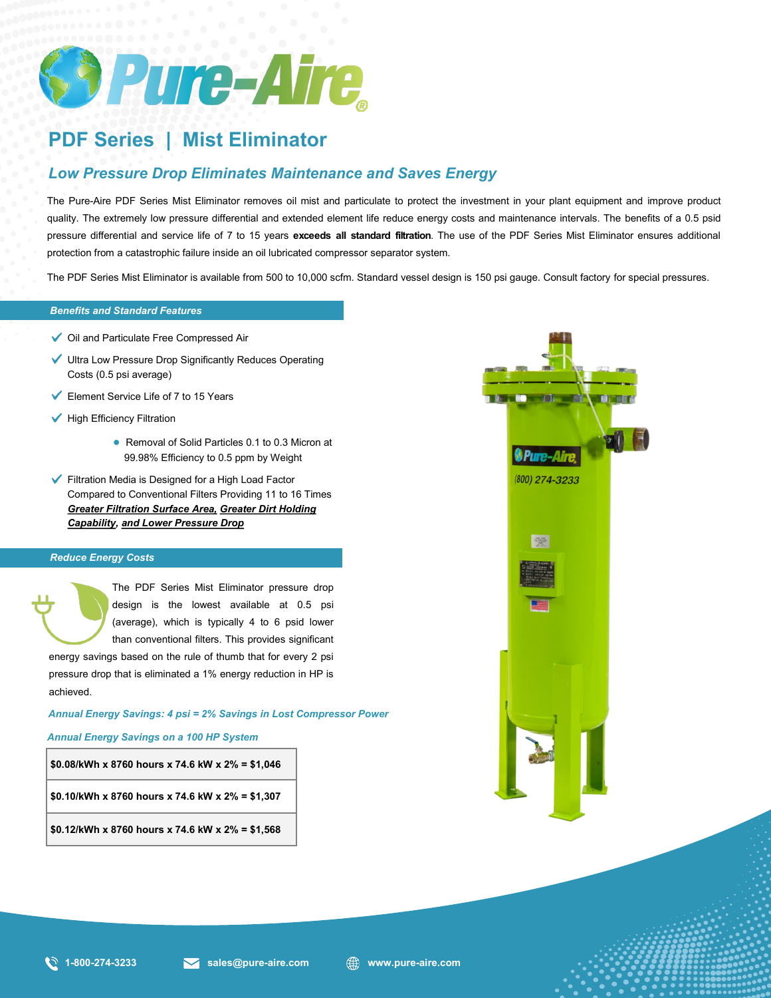

# **PDF Series | Mist Eliminator**

## *Low Pressure Drop Eliminates Maintenance and Saves Energy*

The Pure-Aire PDF Series Mist Eliminator removes oil mist and particulate to protect the investment in your plant equipment and improve product quality. The extremely low pressure differential and extended element life reduce energy costs and maintenance intervals. The benefits of a 0.5 psid pressure differential and service life of 7 to 15 years **exceeds all standard filtration**. The use of the PDF Series Mist Eliminator ensures additional protection from a catastrophic failure inside an oil lubricated compressor separator system.

*Benefits and Standard Features* The PDF Series Mist Eliminator is available from 500 to 10,000 scfm. Standard vessel design is 150 psi gauge. Consult factory for special pressures.

### *Benefits and Standard Features*

- Oil and Particulate Free Compressed Air
- Ultra Low Pressure Drop Significantly Reduces Operating Costs (0.5 psi average)
- Element Service Life of 7 to 15 Years
- $\checkmark$  High Efficiency Filtration
	- Removal of Solid Particles 0.1 to 0.3 Micron at 99.98% Efficiency to 0.5 ppm by Weight
- Filtration Media is Designed for a High Load Factor Compared to Conventional Filters Providing 11 to 16 Times *Greater Filtration Surface Area, Greater Dirt Holding Capability, and Lower Pressure Drop*

#### *Reduce Energy Costs*

The PDF Series Mist Eliminator pressure drop design is the lowest available at 0.5 psi (average), which is typically 4 to 6 psid lower than conventional filters. This provides significant

energy savings based on the rule of thumb that for every 2 psi pressure drop that is eliminated a 1% energy reduction in HP is achieved.

*Annual Energy Savings: 4 psi = 2% Savings in Lost Compressor Power*

#### *Annual Energy Savings on a 100 HP System*

```
$0.08/kWh x 8760 hours x 74.6 kW x 2% = $1,046
$0.10/kWh x 8760 hours x 74.6 kW x 2% = $1,307
$0.12/kWh x 8760 hours x 74.6 kW x 2% = $1,568
```